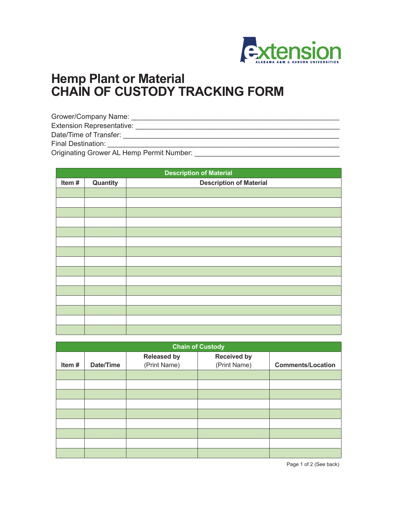

## **Hemp Plant or Material CHAIN OF CUSTODY TRACKING FORM**

Grower/Company Name: \_\_\_\_\_\_\_\_\_\_\_\_\_\_\_\_\_\_\_\_\_\_\_\_\_\_\_\_\_\_\_\_\_\_\_\_\_\_\_\_\_\_\_\_\_\_\_\_\_\_\_\_\_ Extension Representative: \_\_\_\_\_\_\_\_\_\_\_\_\_\_\_\_\_\_\_\_\_\_\_\_\_\_\_\_\_\_\_\_\_\_\_\_\_\_\_\_\_\_\_\_\_\_\_\_\_\_\_\_ Date/Time of Transfer: \_\_\_\_\_\_\_\_\_\_\_\_\_\_\_\_\_\_\_\_\_\_\_\_\_\_\_\_\_\_\_\_\_\_\_\_\_\_\_\_\_\_\_\_\_\_\_\_\_\_\_\_\_\_\_ Final Destination: \_\_\_\_\_\_\_\_\_\_\_\_\_\_\_\_\_\_\_\_\_\_\_\_\_\_\_\_\_\_\_\_\_\_\_\_\_\_\_\_\_\_\_\_\_\_\_\_\_\_\_\_\_\_\_\_\_\_\_ Originating Grower AL Hemp Permit Number:

**Description of Material Item #** Quantity **Description of Material** 

| <b>Chain of Custody</b> |           |                                    |                                    |                          |  |
|-------------------------|-----------|------------------------------------|------------------------------------|--------------------------|--|
| Item#                   | Date/Time | <b>Released by</b><br>(Print Name) | <b>Received by</b><br>(Print Name) | <b>Comments/Location</b> |  |
|                         |           |                                    |                                    |                          |  |
|                         |           |                                    |                                    |                          |  |
|                         |           |                                    |                                    |                          |  |
|                         |           |                                    |                                    |                          |  |
|                         |           |                                    |                                    |                          |  |
|                         |           |                                    |                                    |                          |  |
|                         |           |                                    |                                    |                          |  |
|                         |           |                                    |                                    |                          |  |
|                         |           |                                    |                                    |                          |  |

Page 1 of 2 (See back)